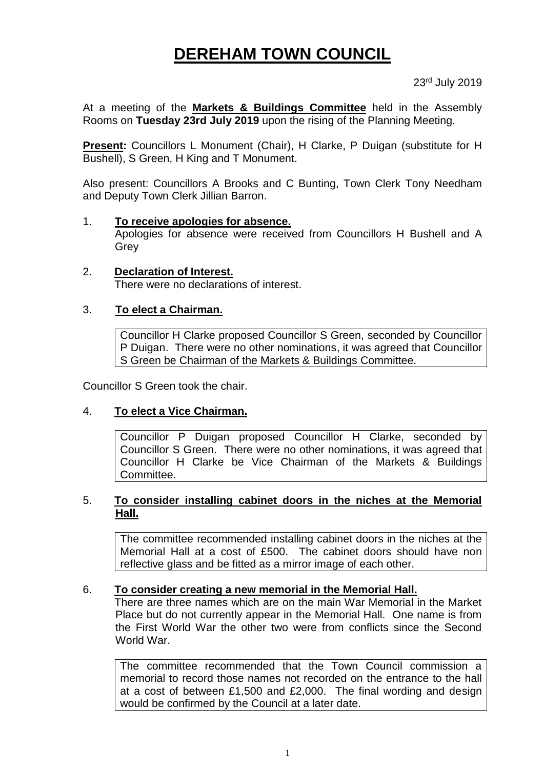# **DEREHAM TOWN COUNCIL**

23rd July 2019

At a meeting of the **Markets & Buildings Committee** held in the Assembly Rooms on **Tuesday 23rd July 2019** upon the rising of the Planning Meeting.

**Present:** Councillors L Monument (Chair), H Clarke, P Duigan (substitute for H Bushell), S Green, H King and T Monument.

Also present: Councillors A Brooks and C Bunting, Town Clerk Tony Needham and Deputy Town Clerk Jillian Barron.

#### 1. **To receive apologies for absence.**

Apologies for absence were received from Councillors H Bushell and A Grey

2. **Declaration of Interest.** There were no declarations of interest.

### 3. **To elect a Chairman.**

Councillor H Clarke proposed Councillor S Green, seconded by Councillor P Duigan. There were no other nominations, it was agreed that Councillor S Green be Chairman of the Markets & Buildings Committee.

Councillor S Green took the chair.

#### 4. **To elect a Vice Chairman.**

Councillor P Duigan proposed Councillor H Clarke, seconded by Councillor S Green. There were no other nominations, it was agreed that Councillor H Clarke be Vice Chairman of the Markets & Buildings Committee.

#### 5. **To consider installing cabinet doors in the niches at the Memorial Hall.**

The committee recommended installing cabinet doors in the niches at the Memorial Hall at a cost of £500. The cabinet doors should have non reflective glass and be fitted as a mirror image of each other.

#### 6. **To consider creating a new memorial in the Memorial Hall.**

There are three names which are on the main War Memorial in the Market Place but do not currently appear in the Memorial Hall. One name is from the First World War the other two were from conflicts since the Second World War.

The committee recommended that the Town Council commission a memorial to record those names not recorded on the entrance to the hall at a cost of between £1,500 and £2,000. The final wording and design would be confirmed by the Council at a later date.